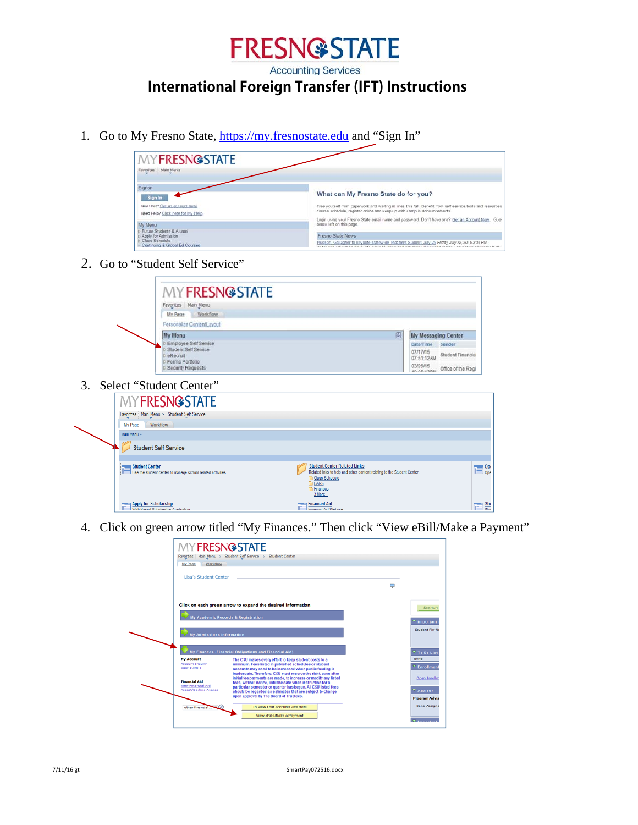

**Accounting Services** 

## **International Foreign Transfer (IFT) Instructions**

1. Go to My Fresno State, https://my.fresnostate.edu and "Sign In"

| <b>MYFRESN@STATE</b><br>Favorites Main Menu                                                             |                                                                                                                                                                                                                                                                                                                      |
|---------------------------------------------------------------------------------------------------------|----------------------------------------------------------------------------------------------------------------------------------------------------------------------------------------------------------------------------------------------------------------------------------------------------------------------|
| Signon<br>Sign In                                                                                       | What can My Fresno State do for you?                                                                                                                                                                                                                                                                                 |
| New User? Get an account now!<br>Need Help? Click here for My Help<br>My Menu                           | Free yourself from paperwork and waiting in lines this fall. Benefit from self-service tools and resources<br>course schedule, register online and keep up with campus announcements.<br>Login using your Fresno State email name and password. Don't have one? Get an Account Now. Gues<br>below left on this page. |
| t Future Students & Alumni<br>Apply for Admission<br>Class Schedule<br>- Continuing & Global Ed Courses | Fresno State News<br>Hudson, Gallagher to keynote statewide Teachers Summit July 29 Friday, July 22, 2016 3:36 PM<br>hotel and adjointer without Costs Higher and estand; and construct ferrorisation                                                                                                                |

2. Go to "Student Self Service"



3. Select "Student Center"

| <b>MY FRESNOSTATE</b>                                                         |                                                                                                                                                                              |                                     |
|-------------------------------------------------------------------------------|------------------------------------------------------------------------------------------------------------------------------------------------------------------------------|-------------------------------------|
| Favorites   Main Menu > Student Self Service                                  |                                                                                                                                                                              |                                     |
| Workflow<br>My Page                                                           |                                                                                                                                                                              |                                     |
| Main Menu >                                                                   |                                                                                                                                                                              |                                     |
| <b>Student Self Service</b>                                                   |                                                                                                                                                                              |                                     |
| Student Center<br>Use the student center to manage school related activities. | <b>Student Center Related Links</b><br>Related links to help and other content relating to the Student Center.<br>Class Schedule<br><b>DARS</b><br><b>Finances</b><br>3 More | $\mathbf{C}$ $\mathbf{Ope}$         |
| <b>Apply for Scholarship</b><br>Web Repart Scholarchin Annication             | <b>Example 2</b> Financial Aid<br><b>Cinenaial Aid Wahaita</b>                                                                                                               | $\frac{\mathsf{Stu}}{\mathsf{chu}}$ |

4. Click on green arrow titled "My Finances." Then click "View eBill/Make a Payment"

| <b>MYFRESN@STATE</b>                                                       | Favorites   Main Menu > Student Self Service > Student Center                                                                                                                                                                                                 |   |                                       |
|----------------------------------------------------------------------------|---------------------------------------------------------------------------------------------------------------------------------------------------------------------------------------------------------------------------------------------------------------|---|---------------------------------------|
| My Page<br>Workflow                                                        |                                                                                                                                                                                                                                                               |   |                                       |
| <b>Lisa's Student Center</b>                                               |                                                                                                                                                                                                                                                               | φ |                                       |
|                                                                            | Click on each green arrow to expand the desired information.                                                                                                                                                                                                  |   | <b>SEARCH</b>                         |
|                                                                            | <b>My Academic Records &amp; Registration</b>                                                                                                                                                                                                                 |   | Important                             |
| <b>My Admissions Information</b>                                           |                                                                                                                                                                                                                                                               |   | <b>Student Fin-No</b>                 |
|                                                                            | My Finances (Financial Obligations and Financial Aid)                                                                                                                                                                                                         |   | To Do List                            |
| <b>My Account</b><br>Account Inquiry<br>View 1098-T                        | The CSU makes every effort to keep student costs to a<br>minimum. Fees listed in published schedules or student<br>accounts may need to be increased when public funding is<br>inadequate. Therefore, CSU must reserve the right, even after                  |   | None<br><sup>T</sup> Enrollment       |
| <b>Financial Aid</b><br><b>View Financial Aid</b><br>Accept/Decline Awards | initial fee payments are made, to increase or modify any listed<br>fees, without notice, until the date when instruction for a<br>particular semester or quarter has begun. All CSU listed fees<br>should be regarded as estimates that are subject to change |   | Open Enrollm<br><b>Advisor</b>        |
| $-1251$<br>other financial                                                 | upon approval by The Board of Trustees.<br>To View Your Account Click Here                                                                                                                                                                                    |   | <b>Program Advise</b><br>None Assigne |
|                                                                            | View eBills/Make a Payment                                                                                                                                                                                                                                    |   |                                       |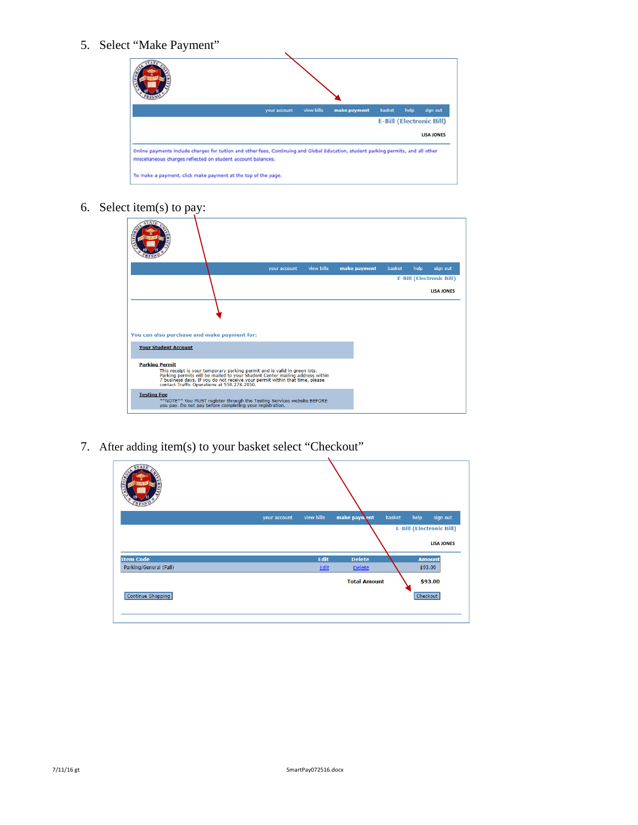5. Select "Make Payment"

| your account | view bills | make payment | basket | help | sign out                        |
|--------------|------------|--------------|--------|------|---------------------------------|
|              |            |              |        |      | <b>E-Bill (Electronic Bill)</b> |
|              |            |              |        |      | <b>LISA JONES</b>               |

6. Select item(s) to pay:

|                                             |                                                          | your account                                                                                                                                                                                                                             | view bills | make payment | basket | help<br>sign out                |  |
|---------------------------------------------|----------------------------------------------------------|------------------------------------------------------------------------------------------------------------------------------------------------------------------------------------------------------------------------------------------|------------|--------------|--------|---------------------------------|--|
|                                             |                                                          |                                                                                                                                                                                                                                          |            |              |        | <b>E-Bill (Electronic Bill)</b> |  |
|                                             |                                                          |                                                                                                                                                                                                                                          |            |              |        | <b>LISA JONES</b>               |  |
| You can also purchase and make payment for: |                                                          |                                                                                                                                                                                                                                          |            |              |        |                                 |  |
| <b>Your Student Account</b>                 |                                                          |                                                                                                                                                                                                                                          |            |              |        |                                 |  |
| <b>Parking Permit</b>                       | contact Traffic Operations at 559.278.2950.              | This receipt is your temporary parking permit and is valid in green lots.<br>Parking permits will be mailed to your Student Center mailing address within<br>7 business days. If you do not receive your permit within that time, please |            |              |        |                                 |  |
| <b>Testing Fee</b>                          | vou pay. Do not pay before completing your registration. | **NOTE** You MUST register through the Testing Services website BEFORE                                                                                                                                                                   |            |              |        |                                 |  |

7. After adding item(s) to your basket select "Checkout"

|                        | your account | view bills | make payment        | basket | help     | sign out                        |
|------------------------|--------------|------------|---------------------|--------|----------|---------------------------------|
|                        |              |            |                     |        |          | <b>E-Bill (Electronic Bill)</b> |
|                        |              |            |                     |        |          | <b>LISA JONES</b>               |
| <b>Item Code</b>       |              | Edit       | <b>Delete</b>       |        |          | <b>Amount</b>                   |
| Parking/General (Fall) |              | Edit       | <b>Delete</b>       |        |          | \$93.00                         |
|                        |              |            | <b>Total Amount</b> |        |          | \$93.00                         |
| Continue Shopping      |              |            |                     |        | Checkout |                                 |
|                        |              |            |                     |        |          |                                 |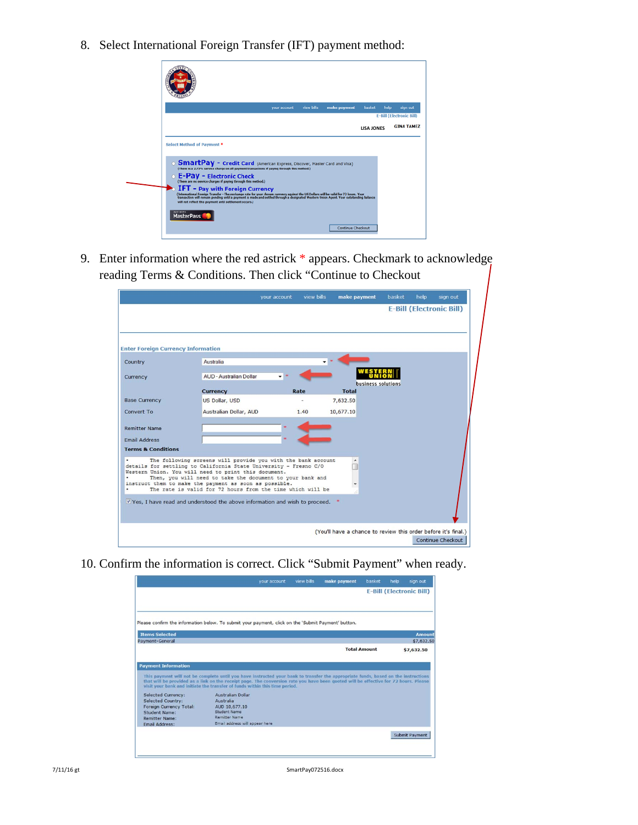8. Select International Foreign Transfer (IFT) payment method:



9. Enter information where the red astrick \* appears. Checkmark to acknowledge reading Terms & Conditions. Then click "Continue to Checkout

|                                           |                                                                                                                                  | your account | view bills | make payment | basket                                                         | help | sign out                        |
|-------------------------------------------|----------------------------------------------------------------------------------------------------------------------------------|--------------|------------|--------------|----------------------------------------------------------------|------|---------------------------------|
|                                           |                                                                                                                                  |              |            |              |                                                                |      | <b>E-Bill (Electronic Bill)</b> |
|                                           |                                                                                                                                  |              |            |              |                                                                |      |                                 |
| <b>Enter Foreign Currency Information</b> |                                                                                                                                  |              |            |              |                                                                |      |                                 |
| Country                                   | Australia                                                                                                                        |              |            |              |                                                                |      |                                 |
| Currency                                  | <b>AUD - Australian Dollar</b>                                                                                                   |              |            |              |                                                                |      |                                 |
|                                           | <b>Currency</b>                                                                                                                  |              | Rate       | <b>Total</b> | business solutions                                             |      |                                 |
| <b>Base Currency</b>                      | US Dollar, USD                                                                                                                   |              |            | 7,632.50     |                                                                |      |                                 |
| Convert To                                | Australian Dollar, AUD                                                                                                           |              | 1.40       | 10,677.10    |                                                                |      |                                 |
|                                           |                                                                                                                                  |              |            |              |                                                                |      |                                 |
| <b>Remitter Name</b>                      |                                                                                                                                  |              |            |              |                                                                |      |                                 |
| <b>Email Address</b>                      |                                                                                                                                  |              |            |              |                                                                |      |                                 |
| <b>Terms &amp; Conditions</b>             |                                                                                                                                  |              |            |              |                                                                |      |                                 |
|                                           | The following screens will provide you with the bank account<br>details for settling to California State University - Fresno C/O |              |            |              |                                                                |      |                                 |
|                                           | Western Union. You will need to print this document.<br>Then, you will need to take the document to your bank and                |              |            |              |                                                                |      |                                 |
|                                           | instruct them to make the payment as soon as possible.<br>The rate is valid for 72 hours from the time which will be             |              |            | ۳            |                                                                |      |                                 |
|                                           |                                                                                                                                  |              |            |              |                                                                |      |                                 |
|                                           | V Yes, I have read and understood the above information and wish to proceed.                                                     |              |            |              |                                                                |      |                                 |
|                                           |                                                                                                                                  |              |            |              |                                                                |      |                                 |
|                                           |                                                                                                                                  |              |            |              | (You'll have a chance to review this order before it's final.) |      |                                 |
|                                           |                                                                                                                                  |              |            |              |                                                                |      | Continue Checkout               |

10. Confirm the information is correct. Click "Submit Payment" when ready.

|                                         |                                                                                                                                                                                                                                                                                                                                                           | view bills | make payment | basket              | help | sign out                        |
|-----------------------------------------|-----------------------------------------------------------------------------------------------------------------------------------------------------------------------------------------------------------------------------------------------------------------------------------------------------------------------------------------------------------|------------|--------------|---------------------|------|---------------------------------|
|                                         |                                                                                                                                                                                                                                                                                                                                                           |            |              |                     |      | <b>E-Bill (Electronic Bill)</b> |
|                                         | Please confirm the information below. To submit your payment, click on the 'Submit Payment' button.                                                                                                                                                                                                                                                       |            |              |                     |      |                                 |
| <b>Items Selected</b>                   |                                                                                                                                                                                                                                                                                                                                                           |            |              |                     |      | Amount                          |
| Payment-General                         |                                                                                                                                                                                                                                                                                                                                                           |            |              |                     |      | \$7,632.50                      |
|                                         |                                                                                                                                                                                                                                                                                                                                                           |            |              | <b>Total Amount</b> |      | \$7,632.50                      |
|                                         |                                                                                                                                                                                                                                                                                                                                                           |            |              |                     |      |                                 |
| <b>Payment Information</b>              |                                                                                                                                                                                                                                                                                                                                                           |            |              |                     |      |                                 |
|                                         |                                                                                                                                                                                                                                                                                                                                                           |            |              |                     |      |                                 |
|                                         | This payment will not be complete until you have instructed your bank to transfer the appropriate funds, based on the instructions<br>that will be provided as a link on the receipt page. The conversion rate you have been quoted will be effective for 72 hours. Please<br>visit your bank and initiate the transfer of funds within this time period. |            |              |                     |      |                                 |
| <b>Selected Currency:</b>               | <b>Australian Dollar</b>                                                                                                                                                                                                                                                                                                                                  |            |              |                     |      |                                 |
| <b>Selected Country:</b>                | <b>Australia</b>                                                                                                                                                                                                                                                                                                                                          |            |              |                     |      |                                 |
| Foreign Currency Total:                 | AUD 10.677.10<br>Student Name                                                                                                                                                                                                                                                                                                                             |            |              |                     |      |                                 |
| Student Name:                           | <b>Remitter Name</b>                                                                                                                                                                                                                                                                                                                                      |            |              |                     |      |                                 |
| <b>Remitter Name:</b><br>Email Address: | Email address will appear here                                                                                                                                                                                                                                                                                                                            |            |              |                     |      |                                 |
|                                         |                                                                                                                                                                                                                                                                                                                                                           |            |              |                     |      | <b>Submit Payment</b>           |
|                                         |                                                                                                                                                                                                                                                                                                                                                           |            |              |                     |      |                                 |